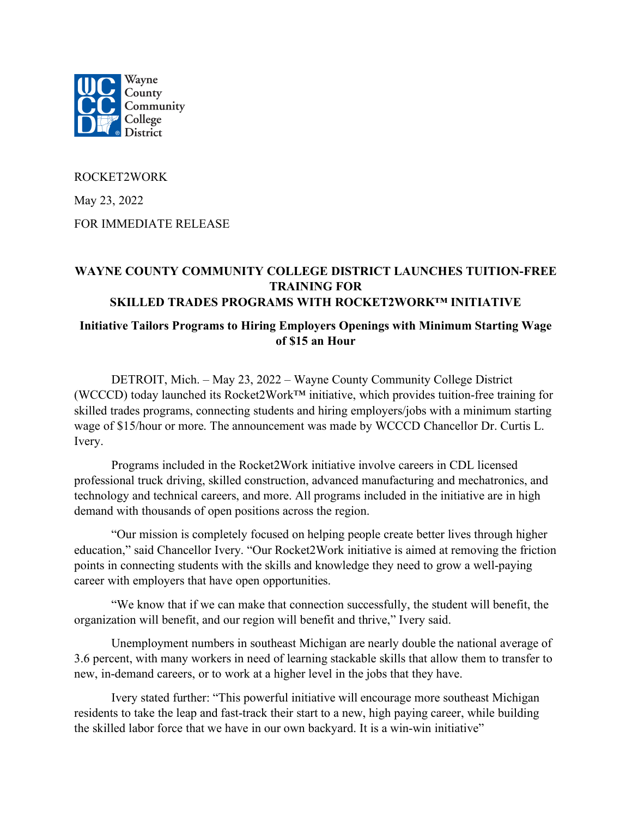

ROCKET2WORK

May 23, 2022

FOR IMMEDIATE RELEASE

## **WAYNE COUNTY COMMUNITY COLLEGE DISTRICT LAUNCHES TUITION-FREE TRAINING FOR SKILLED TRADES PROGRAMS WITH ROCKET2WORK™ INITIATIVE**

## **Initiative Tailors Programs to Hiring Employers Openings with Minimum Starting Wage of \$15 an Hour**

DETROIT, Mich. – May 23, 2022 – Wayne County Community College District (WCCCD) today launched its Rocket2Work™ initiative, which provides tuition-free training for skilled trades programs, connecting students and hiring employers/jobs with a minimum starting wage of \$15/hour or more. The announcement was made by WCCCD Chancellor Dr. Curtis L. Ivery.

Programs included in the Rocket2Work initiative involve careers in CDL licensed professional truck driving, skilled construction, advanced manufacturing and mechatronics, and technology and technical careers, and more. All programs included in the initiative are in high demand with thousands of open positions across the region.

"Our mission is completely focused on helping people create better lives through higher education," said Chancellor Ivery. "Our Rocket2Work initiative is aimed at removing the friction points in connecting students with the skills and knowledge they need to grow a well-paying career with employers that have open opportunities.

"We know that if we can make that connection successfully, the student will benefit, the organization will benefit, and our region will benefit and thrive," Ivery said.

Unemployment numbers in southeast Michigan are nearly double the national average of 3.6 percent, with many workers in need of learning stackable skills that allow them to transfer to new, in-demand careers, or to work at a higher level in the jobs that they have.

Ivery stated further: "This powerful initiative will encourage more southeast Michigan residents to take the leap and fast-track their start to a new, high paying career, while building the skilled labor force that we have in our own backyard. It is a win-win initiative"